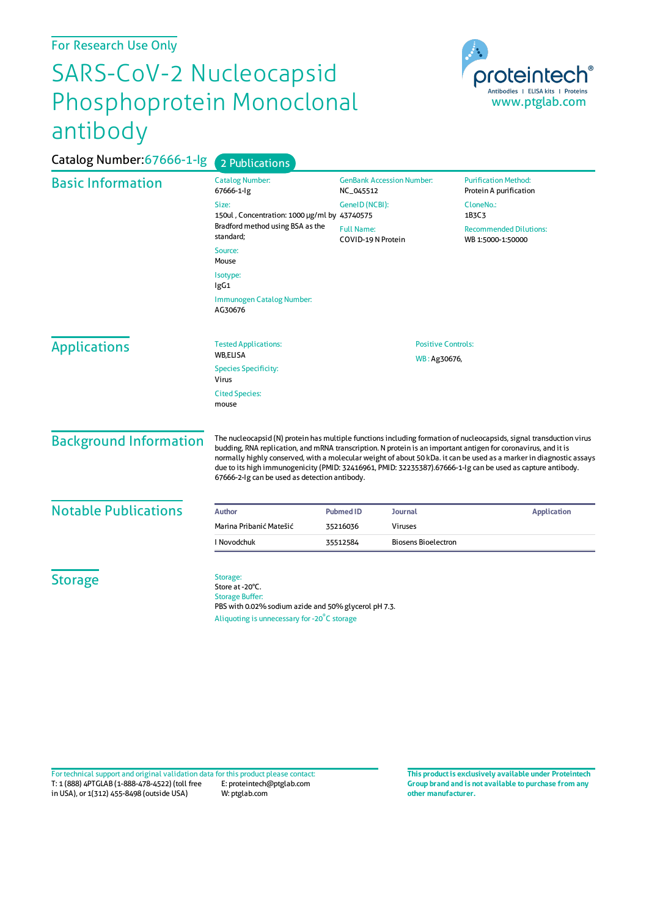## For Research Use Only

## SARS-CoV-2 Nucleocapsid Phosphoprotein Monoclonal antibody



| Catalog Number: 67666-1-lg    | 2 Publications                                                                                                                                                                                                                                                                                                                                                                                                                                                                                                               |                                               |                            |                                                       |  |
|-------------------------------|------------------------------------------------------------------------------------------------------------------------------------------------------------------------------------------------------------------------------------------------------------------------------------------------------------------------------------------------------------------------------------------------------------------------------------------------------------------------------------------------------------------------------|-----------------------------------------------|----------------------------|-------------------------------------------------------|--|
| <b>Basic Information</b>      | <b>Catalog Number:</b><br>67666-1-lg                                                                                                                                                                                                                                                                                                                                                                                                                                                                                         | <b>GenBank Accession Number:</b><br>NC_045512 |                            | <b>Purification Method:</b><br>Protein A purification |  |
|                               | Size:<br>150ul, Concentration: 1000 µg/ml by 43740575<br>Bradford method using BSA as the<br>standard;                                                                                                                                                                                                                                                                                                                                                                                                                       | GeneID (NCBI):                                |                            | CloneNo.:<br>1B3C3                                    |  |
|                               |                                                                                                                                                                                                                                                                                                                                                                                                                                                                                                                              | <b>Full Name:</b><br>COVID-19 N Protein       |                            | <b>Recommended Dilutions:</b><br>WB 1:5000-1:50000    |  |
|                               | Source:<br>Mouse                                                                                                                                                                                                                                                                                                                                                                                                                                                                                                             |                                               |                            |                                                       |  |
|                               | Isotype:<br>lgG1                                                                                                                                                                                                                                                                                                                                                                                                                                                                                                             |                                               |                            |                                                       |  |
|                               | <b>Immunogen Catalog Number:</b><br>AG30676                                                                                                                                                                                                                                                                                                                                                                                                                                                                                  |                                               |                            |                                                       |  |
| <b>Applications</b>           | <b>Tested Applications:</b>                                                                                                                                                                                                                                                                                                                                                                                                                                                                                                  | <b>Positive Controls:</b>                     |                            |                                                       |  |
|                               | <b>WB,ELISA</b><br><b>Species Specificity:</b><br>Virus                                                                                                                                                                                                                                                                                                                                                                                                                                                                      | WB: Ag30676,                                  |                            |                                                       |  |
|                               | <b>Cited Species:</b><br>mouse                                                                                                                                                                                                                                                                                                                                                                                                                                                                                               |                                               |                            |                                                       |  |
| <b>Background Information</b> | The nucleocapsid (N) protein has multiple functions including formation of nucleocapsids, signal transduction virus<br>budding, RNA replication, and mRNA transcription. N protein is an important antigen for coronavirus, and it is<br>normally highly conserved, with a molecular weight of about 50 kDa. it can be used as a marker in diagnostic assays<br>due to its high immunogenicity (PMID: 32416961, PMID: 32235387).67666-1-Ig can be used as capture antibody.<br>67666-2-Ig can be used as detection antibody. |                                               |                            |                                                       |  |
| <b>Notable Publications</b>   | <b>Author</b>                                                                                                                                                                                                                                                                                                                                                                                                                                                                                                                | <b>Pubmed ID</b>                              | <b>Journal</b>             | <b>Application</b>                                    |  |
|                               | Marina Pribanić Matešić                                                                                                                                                                                                                                                                                                                                                                                                                                                                                                      | 35216036                                      | Viruses                    |                                                       |  |
|                               | I Novodchuk                                                                                                                                                                                                                                                                                                                                                                                                                                                                                                                  | 35512584                                      | <b>Biosens Bioelectron</b> |                                                       |  |
| <b>Storage</b>                | Storage:<br>Store at -20°C.<br><b>Storage Buffer:</b><br>PBS with 0.02% sodium azide and 50% glycerol pH 7.3.<br>Aliquoting is unnecessary for -20°C storage                                                                                                                                                                                                                                                                                                                                                                 |                                               |                            |                                                       |  |

T: 1 (888) 4PTGLAB (1-888-478-4522) (toll free in USA), or 1(312) 455-8498 (outside USA) E: proteintech@ptglab.com W: ptglab.com Fortechnical support and original validation data forthis product please contact: **This productis exclusively available under Proteintech**

**Group brand and is not available to purchase from any other manufacturer.**